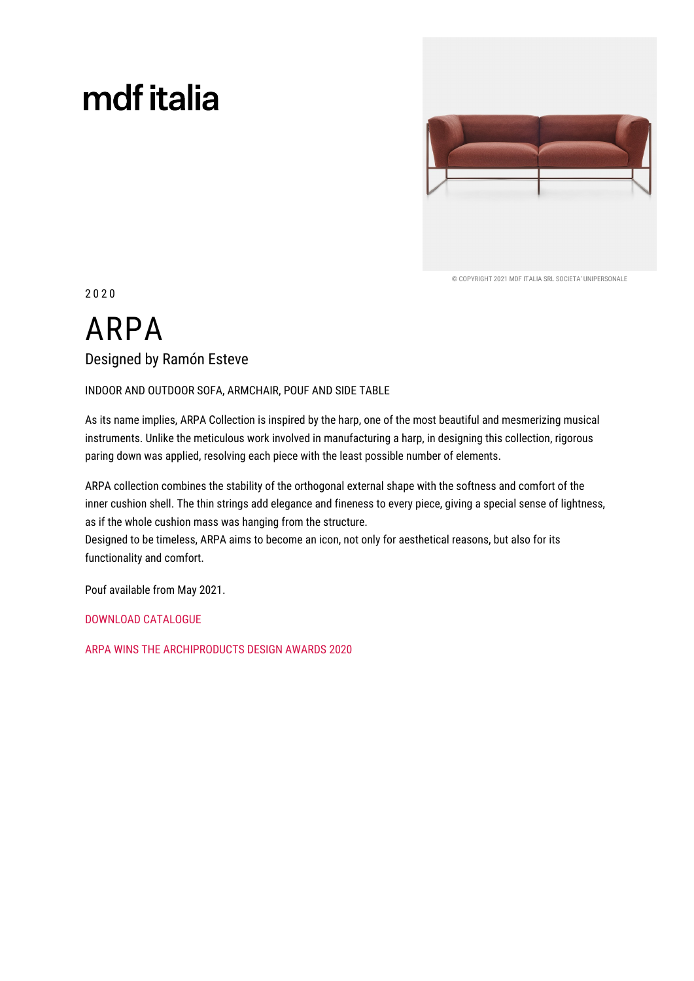# mdf italia



© COPYRIGHT 2021 MDE ITALIA SRL SOCIETA' UNIPERSONALE

 $2020$ 

# **ARPA** Designed by Ramón Esteve

INDOOR AND OUTDOOR SOFA, ARMCHAIR, POUF AND SIDE TABLE

As its name implies, ARPA Collection is inspired by the harp, one of the most beautiful and mesmerizing musical instruments. Unlike the meticulous work involved in manufacturing a harp, in designing this collection, rigorous paring down was applied, resolving each piece with the least possible number of elements.

ARPA collection combines the stability of the orthogonal external shape with the softness and comfort of the inner cushion shell. The thin strings add elegance and fineness to every piece, giving a special sense of lightness, as if the whole cushion mass was hanging from the structure.

Designed to be timeless, ARPA aims to become an icon, not only for aesthetical reasons, but also for its functionality and comfort.

Pouf available from May 2021.

**DOWNLOAD CATALOGUE** 

ARPA WINS THE ARCHIPRODUCTS DESIGN AWARDS 2020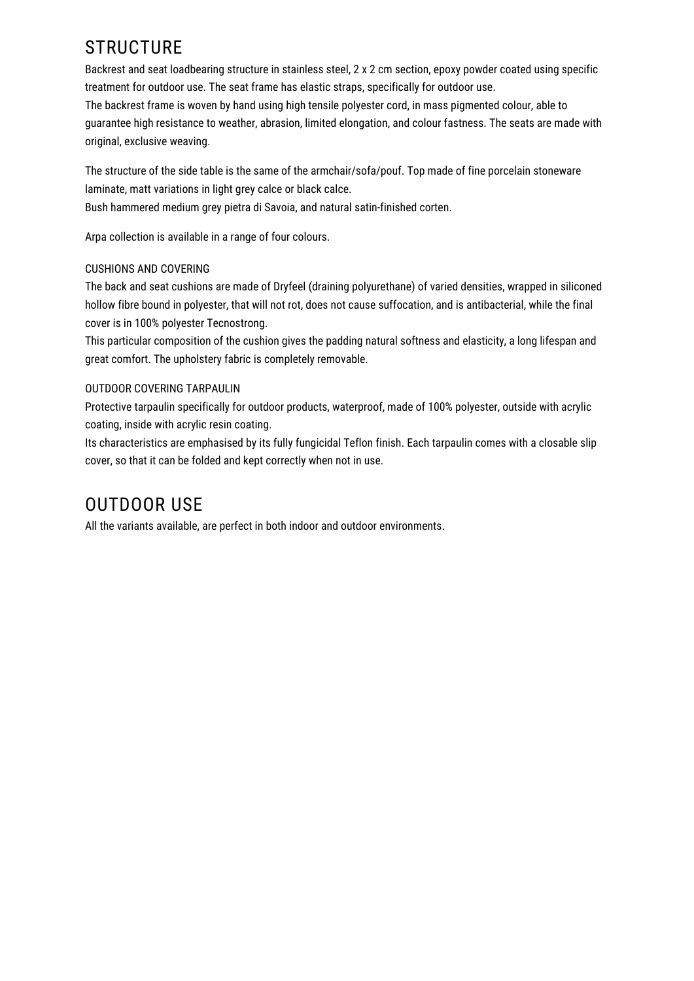# **STRUCTURE**

Backrest and seat loadbearing structure in stainless steel, 2 x 2 cm section, epoxy powder coated using specific treatment for outdoor use. The seat frame has elastic straps, specifically for outdoor use. The backrest frame is woven by hand using high tensile polyester cord, in mass pigmented colour, able to quarantee high resistance to weather, abrasion, limited elongation, and colour fastness. The seats are made with original, exclusive weaving.

The structure of the side table is the same of the armchair/sofa/pouf. Top made of fine porcelain stoneware laminate, matt variations in light grey calce or black calce.

Bush hammered medium grey pietra di Savoia, and natural satin-finished corten.

Arpa collection is available in a range of four colours.

### **CUSHIONS AND COVERING**

The back and seat cushions are made of Dryfeel (draining polyurethane) of varied densities, wrapped in siliconed hollow fibre bound in polyester, that will not rot, does not cause suffocation, and is antibacterial, while the final cover is in 100% polyester Tecnostrong.

This particular composition of the cushion gives the padding natural softness and elasticity, a long lifespan and great comfort. The upholstery fabric is completely removable.

### OUTDOOR COVERING TARPAULIN

Protective tarpaulin specifically for outdoor products, waterproof, made of 100% polyester, outside with acrylic coating, inside with acrylic resin coating.

Its characteristics are emphasised by its fully fungicidal Teflon finish. Each tarpaulin comes with a closable slip cover, so that it can be folded and kept correctly when not in use.

## **OUTDOOR USE**

All the variants available, are perfect in both indoor and outdoor environments.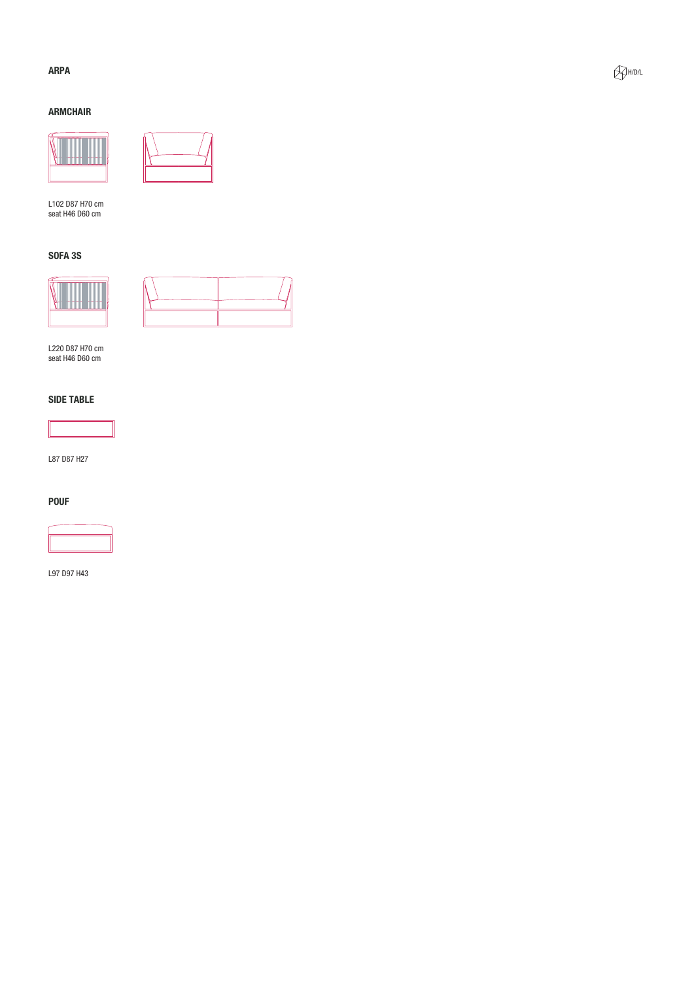### **ARPA**

### **ARMCHAIR**





L102 D87 H70 cm<br>seat H46 D60 cm

### **SOFA 3S**





L220 D87 H70 cm<br>seat H46 D60 cm

### **SIDE TABLE**



L87 D87 H27

#### **POUF**



L97 D97 H43

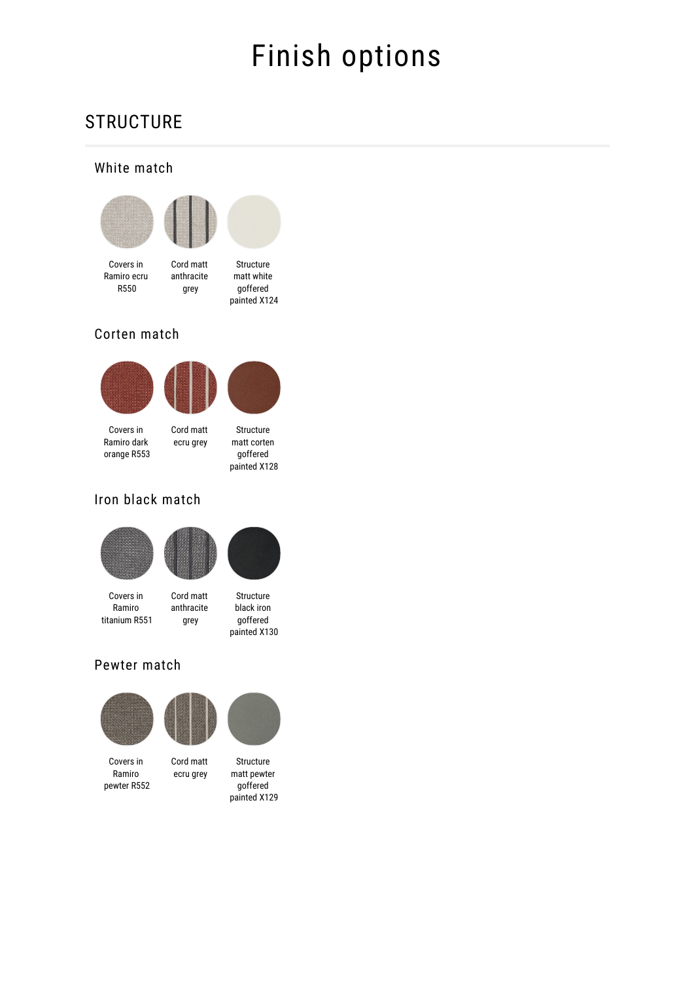# Finish options

# **STRUCTURE**

### White match



anthracite

grey



Covers in Ramiro ecru R550

Structure matt white goffered painted X124

### Corten match





Covers in Ramiro dark orange R553

Cord matt ecru grey goffered

## Iron black match





Covers in Ramiro titanium R551



### Pewter match



Covers in Ramiro pewter R552

Cord matt

ecru grey

Structure matt pewter goffered painted X129



painted X128

painted X130